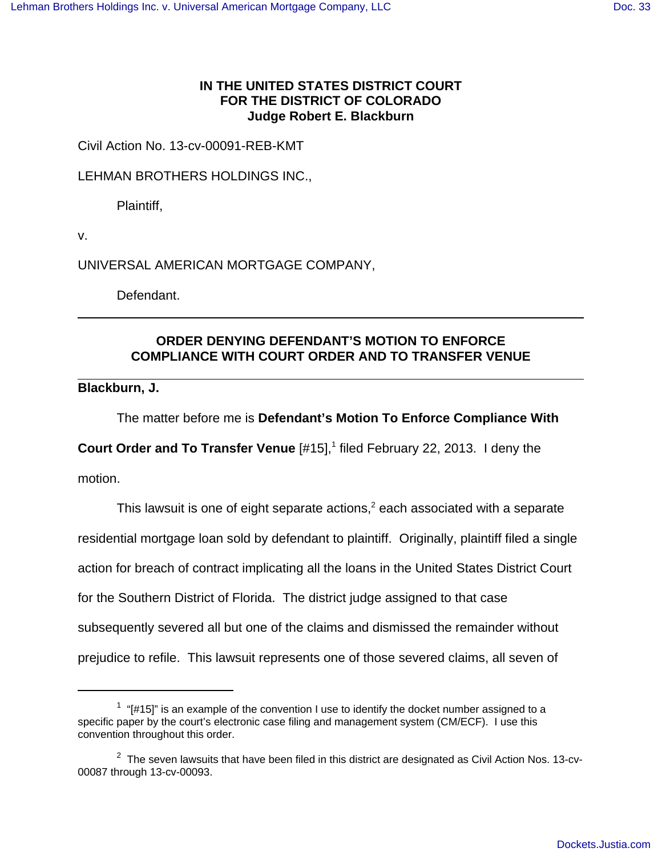## **IN THE UNITED STATES DISTRICT COURT FOR THE DISTRICT OF COLORADO Judge Robert E. Blackburn**

Civil Action No. 13-cv-00091-REB-KMT

LEHMAN BROTHERS HOLDINGS INC.,

Plaintiff,

v.

UNIVERSAL AMERICAN MORTGAGE COMPANY,

Defendant.

## **ORDER DENYING DEFENDANT'S MOTION TO ENFORCE COMPLIANCE WITH COURT ORDER AND TO TRANSFER VENUE**

**Blackburn, J.**

The matter before me is **Defendant's Motion To Enforce Compliance With**

**Court Order and To Transfer Venue** [#15],<sup>1</sup> filed February 22, 2013. I deny the

motion.

This lawsuit is one of eight separate actions,<sup>2</sup> each associated with a separate residential mortgage loan sold by defendant to plaintiff. Originally, plaintiff filed a single action for breach of contract implicating all the loans in the United States District Court for the Southern District of Florida. The district judge assigned to that case subsequently severed all but one of the claims and dismissed the remainder without prejudice to refile. This lawsuit represents one of those severed claims, all seven of

 $1$  "[#15]" is an example of the convention I use to identify the docket number assigned to a specific paper by the court's electronic case filing and management system (CM/ECF). I use this convention throughout this order.

 $2$  The seven lawsuits that have been filed in this district are designated as Civil Action Nos. 13-cv-00087 through 13-cv-00093.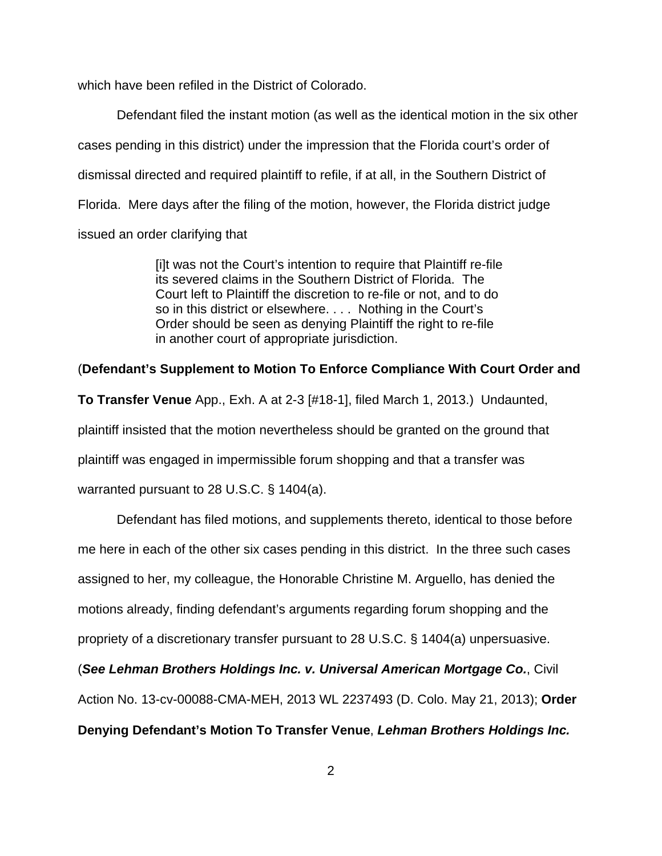which have been refiled in the District of Colorado.

Defendant filed the instant motion (as well as the identical motion in the six other cases pending in this district) under the impression that the Florida court's order of dismissal directed and required plaintiff to refile, if at all, in the Southern District of Florida. Mere days after the filing of the motion, however, the Florida district judge issued an order clarifying that

> [i]t was not the Court's intention to require that Plaintiff re-file its severed claims in the Southern District of Florida. The Court left to Plaintiff the discretion to re-file or not, and to do so in this district or elsewhere. . . . Nothing in the Court's Order should be seen as denying Plaintiff the right to re-file in another court of appropriate jurisdiction.

## (**Defendant's Supplement to Motion To Enforce Compliance With Court Order and**

**To Transfer Venue** App., Exh. A at 2-3 [#18-1], filed March 1, 2013.) Undaunted, plaintiff insisted that the motion nevertheless should be granted on the ground that plaintiff was engaged in impermissible forum shopping and that a transfer was warranted pursuant to 28 U.S.C. § 1404(a).

Defendant has filed motions, and supplements thereto, identical to those before me here in each of the other six cases pending in this district. In the three such cases assigned to her, my colleague, the Honorable Christine M. Arguello, has denied the motions already, finding defendant's arguments regarding forum shopping and the propriety of a discretionary transfer pursuant to 28 U.S.C. § 1404(a) unpersuasive. (**See Lehman Brothers Holdings Inc. v. Universal American Mortgage Co.**, Civil Action No. 13-cv-00088-CMA-MEH, 2013 WL 2237493 (D. Colo. May 21, 2013); **Order**

**Denying Defendant's Motion To Transfer Venue**, **Lehman Brothers Holdings Inc.**